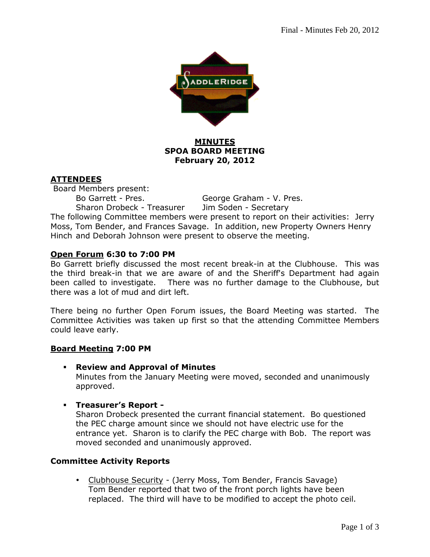

# **MINUTES SPOA BOARD MEETING February 20, 2012**

## **ATTENDEES**

 Board Members present: Bo Garrett - Pres. George Graham - V. Pres. Sharon Drobeck - Treasurer Jim Soden - Secretary The following Committee members were present to report on their activities: Jerry Moss, Tom Bender, and Frances Savage. In addition, new Property Owners Henry Hinch and Deborah Johnson were present to observe the meeting.

### **Open Forum 6:30 to 7:00 PM**

Bo Garrett briefly discussed the most recent break-in at the Clubhouse. This was the third break-in that we are aware of and the Sheriff's Department had again been called to investigate. There was no further damage to the Clubhouse, but there was a lot of mud and dirt left.

There being no further Open Forum issues, the Board Meeting was started. The Committee Activities was taken up first so that the attending Committee Members could leave early.

#### **Board Meeting 7:00 PM**

**Review and Approval of Minutes** 

Minutes from the January Meeting were moved, seconded and unanimously approved.

**Treasurer's Report -** 

Sharon Drobeck presented the currant financial statement. Bo questioned the PEC charge amount since we should not have electric use for the entrance yet. Sharon is to clarify the PEC charge with Bob. The report was moved seconded and unanimously approved.

## **Committee Activity Reports**

 Clubhouse Security - (Jerry Moss, Tom Bender, Francis Savage) Tom Bender reported that two of the front porch lights have been replaced. The third will have to be modified to accept the photo ceil.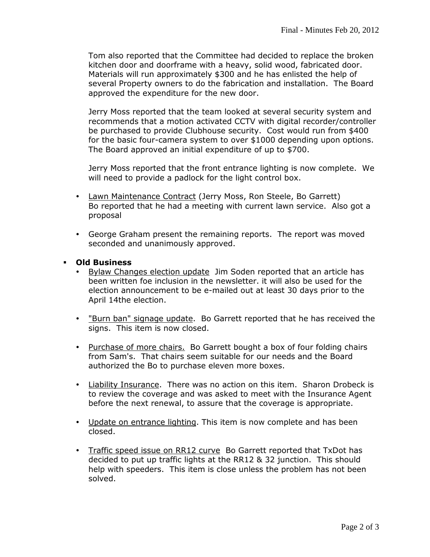Tom also reported that the Committee had decided to replace the broken kitchen door and doorframe with a heavy, solid wood, fabricated door. Materials will run approximately \$300 and he has enlisted the help of several Property owners to do the fabrication and installation. The Board approved the expenditure for the new door.

Jerry Moss reported that the team looked at several security system and recommends that a motion activated CCTV with digital recorder/controller be purchased to provide Clubhouse security. Cost would run from \$400 for the basic four-camera system to over \$1000 depending upon options. The Board approved an initial expenditure of up to \$700.

Jerry Moss reported that the front entrance lighting is now complete. We will need to provide a padlock for the light control box.

- Lawn Maintenance Contract (Jerry Moss, Ron Steele, Bo Garrett) Bo reported that he had a meeting with current lawn service. Also got a proposal
- George Graham present the remaining reports. The report was moved seconded and unanimously approved.
- **Old Business** 
	- Bylaw Changes election update Jim Soden reported that an article has been written foe inclusion in the newsletter. it will also be used for the election announcement to be e-mailed out at least 30 days prior to the April 14the election.
	- "Burn ban" signage update. Bo Garrett reported that he has received the signs. This item is now closed.
	- Purchase of more chairs. Bo Garrett bought a box of four folding chairs from Sam's. That chairs seem suitable for our needs and the Board authorized the Bo to purchase eleven more boxes.
	- Liability Insurance. There was no action on this item. Sharon Drobeck is to review the coverage and was asked to meet with the Insurance Agent before the next renewal, to assure that the coverage is appropriate.
	- Update on entrance lighting. This item is now complete and has been closed.
	- Traffic speed issue on RR12 curve Bo Garrett reported that TxDot has decided to put up traffic lights at the RR12 & 32 junction. This should help with speeders. This item is close unless the problem has not been solved.